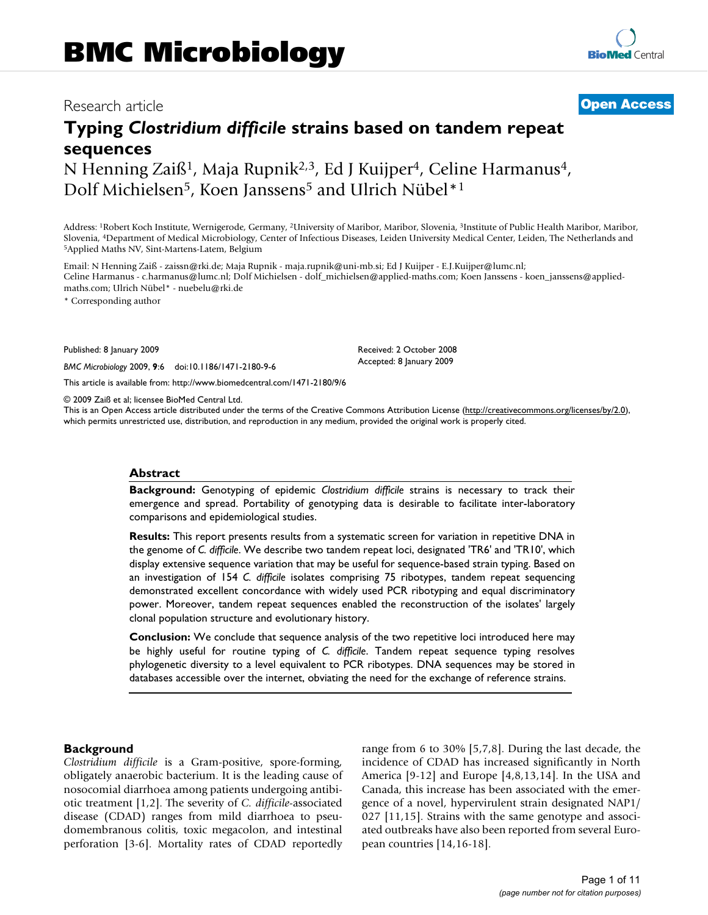# Research article **[Open Access](http://www.biomedcentral.com/info/about/charter/)**

# **Typing** *Clostridium difficile* **strains based on tandem repeat sequences** N Henning Zaiß<sup>1</sup>, Maja Rupnik<sup>2,3</sup>, Ed J Kuijper<sup>4</sup>, Celine Harmanus<sup>4</sup>,

Dolf Michielsen<sup>5</sup>, Koen Janssens<sup>5</sup> and Ulrich Nübel<sup>\*1</sup>

Address: 1Robert Koch Institute, Wernigerode, Germany, 2University of Maribor, Maribor, Slovenia, 3Institute of Public Health Maribor, Maribor, Slovenia, 4Department of Medical Microbiology, Center of Infectious Diseases, Leiden University Medical Center, Leiden, The Netherlands and 5Applied Maths NV, Sint-Martens-Latem, Belgium

Email: N Henning Zaiß - zaissn@rki.de; Maja Rupnik - maja.rupnik@uni-mb.si; Ed J Kuijper - E.J.Kuijper@lumc.nl; Celine Harmanus - c.harmanus@lumc.nl; Dolf Michielsen - dolf\_michielsen@applied-maths.com; Koen Janssens - koen\_janssens@appliedmaths.com; Ulrich Nübel\* - nuebelu@rki.de

\* Corresponding author

Published: 8 January 2009

*BMC Microbiology* 2009, **9**:6 doi:10.1186/1471-2180-9-6

[This article is available from: http://www.biomedcentral.com/1471-2180/9/6](http://www.biomedcentral.com/1471-2180/9/6)

© 2009 Zaiß et al; licensee BioMed Central Ltd.

This is an Open Access article distributed under the terms of the Creative Commons Attribution License [\(http://creativecommons.org/licenses/by/2.0\)](http://creativecommons.org/licenses/by/2.0), which permits unrestricted use, distribution, and reproduction in any medium, provided the original work is properly cited.

Received: 2 October 2008 Accepted: 8 January 2009

#### **Abstract**

**Background:** Genotyping of epidemic *Clostridium difficile* strains is necessary to track their emergence and spread. Portability of genotyping data is desirable to facilitate inter-laboratory comparisons and epidemiological studies.

**Results:** This report presents results from a systematic screen for variation in repetitive DNA in the genome of *C. difficile*. We describe two tandem repeat loci, designated 'TR6' and 'TR10', which display extensive sequence variation that may be useful for sequence-based strain typing. Based on an investigation of 154 *C. difficile* isolates comprising 75 ribotypes, tandem repeat sequencing demonstrated excellent concordance with widely used PCR ribotyping and equal discriminatory power. Moreover, tandem repeat sequences enabled the reconstruction of the isolates' largely clonal population structure and evolutionary history.

**Conclusion:** We conclude that sequence analysis of the two repetitive loci introduced here may be highly useful for routine typing of *C. difficile*. Tandem repeat sequence typing resolves phylogenetic diversity to a level equivalent to PCR ribotypes. DNA sequences may be stored in databases accessible over the internet, obviating the need for the exchange of reference strains.

#### **Background**

*Clostridium difficile* is a Gram-positive, spore-forming, obligately anaerobic bacterium. It is the leading cause of nosocomial diarrhoea among patients undergoing antibiotic treatment [1,2]. The severity of *C. difficile*-associated disease (CDAD) ranges from mild diarrhoea to pseudomembranous colitis, toxic megacolon, and intestinal perforation [3-6]. Mortality rates of CDAD reportedly range from 6 to 30% [5,7,8]. During the last decade, the incidence of CDAD has increased significantly in North America [9-12] and Europe [4,8,13,14]. In the USA and Canada, this increase has been associated with the emergence of a novel, hypervirulent strain designated NAP1/ 027 [11,15]. Strains with the same genotype and associated outbreaks have also been reported from several European countries [14,16-18].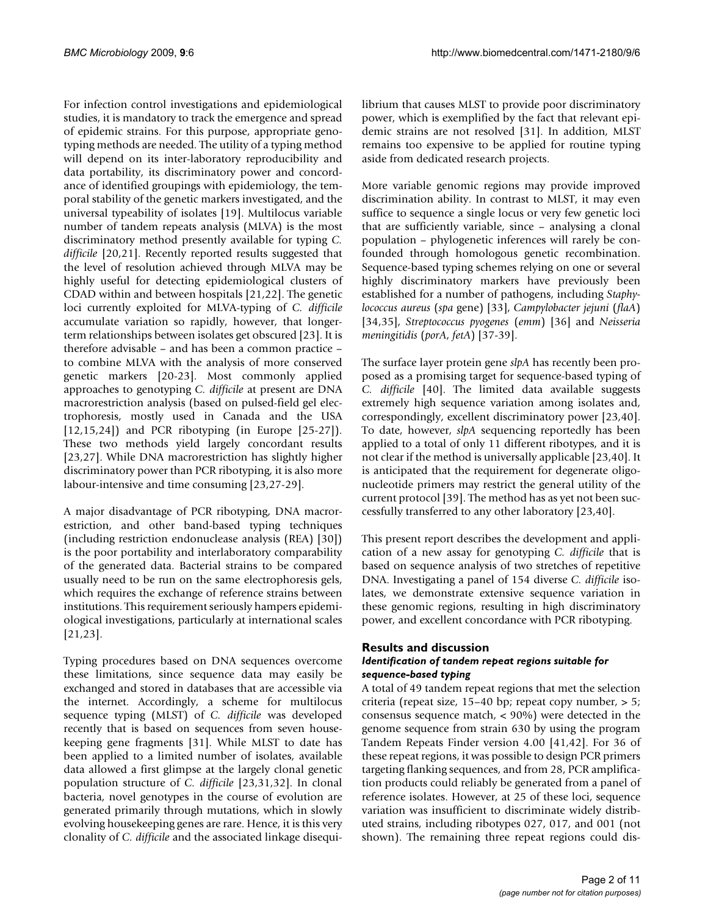For infection control investigations and epidemiological studies, it is mandatory to track the emergence and spread of epidemic strains. For this purpose, appropriate genotyping methods are needed. The utility of a typing method will depend on its inter-laboratory reproducibility and data portability, its discriminatory power and concordance of identified groupings with epidemiology, the temporal stability of the genetic markers investigated, and the universal typeability of isolates [19]. Multilocus variable number of tandem repeats analysis (MLVA) is the most discriminatory method presently available for typing *C. difficile* [20,21]. Recently reported results suggested that the level of resolution achieved through MLVA may be highly useful for detecting epidemiological clusters of CDAD within and between hospitals [21,22]. The genetic loci currently exploited for MLVA-typing of *C. difficile* accumulate variation so rapidly, however, that longerterm relationships between isolates get obscured [23]. It is therefore advisable – and has been a common practice – to combine MLVA with the analysis of more conserved genetic markers [20-23]. Most commonly applied approaches to genotyping *C. difficile* at present are DNA macrorestriction analysis (based on pulsed-field gel electrophoresis, mostly used in Canada and the USA [12,15,24]) and PCR ribotyping (in Europe [25-27]). These two methods yield largely concordant results [23,27]. While DNA macrorestriction has slightly higher discriminatory power than PCR ribotyping, it is also more labour-intensive and time consuming [23,27-29].

A major disadvantage of PCR ribotyping, DNA macrorestriction, and other band-based typing techniques (including restriction endonuclease analysis (REA) [30]) is the poor portability and interlaboratory comparability of the generated data. Bacterial strains to be compared usually need to be run on the same electrophoresis gels, which requires the exchange of reference strains between institutions. This requirement seriously hampers epidemiological investigations, particularly at international scales [21,23].

Typing procedures based on DNA sequences overcome these limitations, since sequence data may easily be exchanged and stored in databases that are accessible via the internet. Accordingly, a scheme for multilocus sequence typing (MLST) of *C. difficile* was developed recently that is based on sequences from seven housekeeping gene fragments [31]. While MLST to date has been applied to a limited number of isolates, available data allowed a first glimpse at the largely clonal genetic population structure of *C. difficile* [23,31,32]. In clonal bacteria, novel genotypes in the course of evolution are generated primarily through mutations, which in slowly evolving housekeeping genes are rare. Hence, it is this very clonality of *C. difficile* and the associated linkage disequilibrium that causes MLST to provide poor discriminatory power, which is exemplified by the fact that relevant epidemic strains are not resolved [31]. In addition, MLST remains too expensive to be applied for routine typing aside from dedicated research projects.

More variable genomic regions may provide improved discrimination ability. In contrast to MLST, it may even suffice to sequence a single locus or very few genetic loci that are sufficiently variable, since – analysing a clonal population – phylogenetic inferences will rarely be confounded through homologous genetic recombination. Sequence-based typing schemes relying on one or several highly discriminatory markers have previously been established for a number of pathogens, including *Staphylococcus aureus* (*spa* gene) [33], *Campylobacter jejuni* (*flaA*) [34,35], *Streptococcus pyogenes* (*emm*) [36] and *Neisseria meningitidis* (*porA*, *fetA*) [37-39].

The surface layer protein gene *slpA* has recently been proposed as a promising target for sequence-based typing of *C. difficile* [40]. The limited data available suggests extremely high sequence variation among isolates and, correspondingly, excellent discriminatory power [23,40]. To date, however, *slpA* sequencing reportedly has been applied to a total of only 11 different ribotypes, and it is not clear if the method is universally applicable [23,40]. It is anticipated that the requirement for degenerate oligonucleotide primers may restrict the general utility of the current protocol [39]. The method has as yet not been successfully transferred to any other laboratory [23,40].

This present report describes the development and application of a new assay for genotyping *C. difficile* that is based on sequence analysis of two stretches of repetitive DNA. Investigating a panel of 154 diverse *C. difficile* isolates, we demonstrate extensive sequence variation in these genomic regions, resulting in high discriminatory power, and excellent concordance with PCR ribotyping.

# **Results and discussion**

#### *Identification of tandem repeat regions suitable for sequence-based typing*

A total of 49 tandem repeat regions that met the selection criteria (repeat size, 15–40 bp; repeat copy number, > 5; consensus sequence match, < 90%) were detected in the genome sequence from strain 630 by using the program Tandem Repeats Finder version 4.00 [41,42]. For 36 of these repeat regions, it was possible to design PCR primers targeting flanking sequences, and from 28, PCR amplification products could reliably be generated from a panel of reference isolates. However, at 25 of these loci, sequence variation was insufficient to discriminate widely distributed strains, including ribotypes 027, 017, and 001 (not shown). The remaining three repeat regions could dis-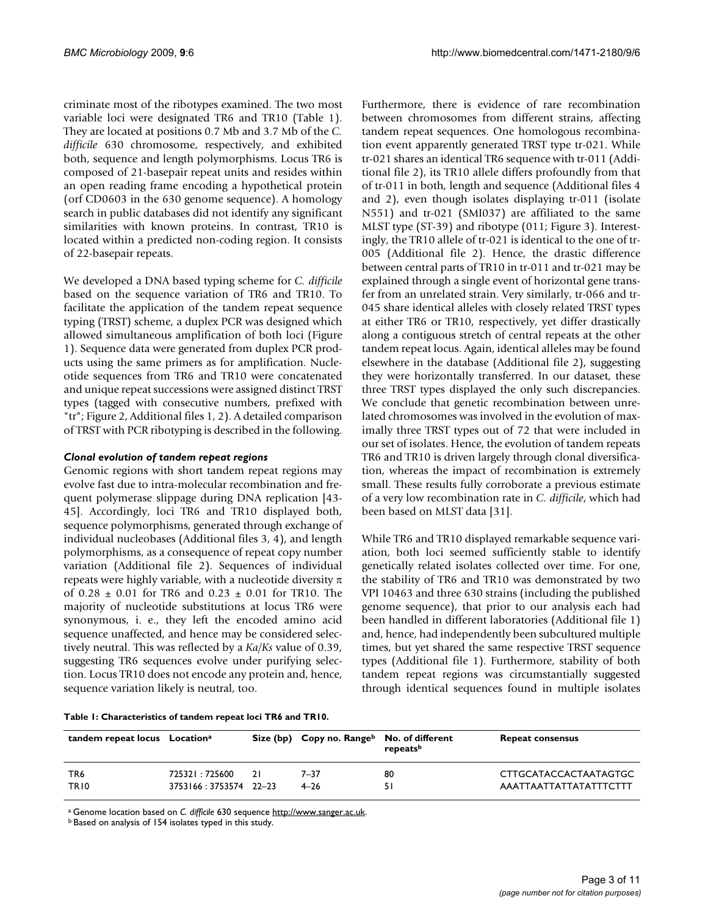criminate most of the ribotypes examined. The two most variable loci were designated TR6 and TR10 (Table 1). They are located at positions 0.7 Mb and 3.7 Mb of the *C. difficile* 630 chromosome, respectively, and exhibited both, sequence and length polymorphisms. Locus TR6 is composed of 21-basepair repeat units and resides within an open reading frame encoding a hypothetical protein (orf CD0603 in the 630 genome sequence). A homology search in public databases did not identify any significant similarities with known proteins. In contrast, TR10 is located within a predicted non-coding region. It consists of 22-basepair repeats.

We developed a DNA based typing scheme for *C. difficile* based on the sequence variation of TR6 and TR10. To facilitate the application of the tandem repeat sequence typing (TRST) scheme, a duplex PCR was designed which allowed simultaneous amplification of both loci (Figure 1). Sequence data were generated from duplex PCR products using the same primers as for amplification. Nucleotide sequences from TR6 and TR10 were concatenated and unique repeat successions were assigned distinct TRST types (tagged with consecutive numbers, prefixed with "tr"; Figure 2, Additional files 1, 2). A detailed comparison of TRST with PCR ribotyping is described in the following.

#### *Clonal evolution of tandem repeat regions*

Genomic regions with short tandem repeat regions may evolve fast due to intra-molecular recombination and frequent polymerase slippage during DNA replication [43- 45]. Accordingly, loci TR6 and TR10 displayed both, sequence polymorphisms, generated through exchange of individual nucleobases (Additional files 3, 4), and length polymorphisms, as a consequence of repeat copy number variation (Additional file 2). Sequences of individual repeats were highly variable, with a nucleotide diversity  $\pi$ of 0.28  $\pm$  0.01 for TR6 and 0.23  $\pm$  0.01 for TR10. The majority of nucleotide substitutions at locus TR6 were synonymous, i. e., they left the encoded amino acid sequence unaffected, and hence may be considered selectively neutral. This was reflected by a *Ka/Ks* value of 0.39, suggesting TR6 sequences evolve under purifying selection. Locus TR10 does not encode any protein and, hence, sequence variation likely is neutral, too.

Furthermore, there is evidence of rare recombination between chromosomes from different strains, affecting tandem repeat sequences. One homologous recombination event apparently generated TRST type tr-021. While tr-021 shares an identical TR6 sequence with tr-011 (Additional file 2), its TR10 allele differs profoundly from that of tr-011 in both, length and sequence (Additional files 4 and 2), even though isolates displaying tr-011 (isolate N551) and tr-021 (SMI037) are affiliated to the same MLST type (ST-39) and ribotype (011; Figure 3). Interestingly, the TR10 allele of tr-021 is identical to the one of tr-005 (Additional file 2). Hence, the drastic difference between central parts of TR10 in tr-011 and tr-021 may be explained through a single event of horizontal gene transfer from an unrelated strain. Very similarly, tr-066 and tr-045 share identical alleles with closely related TRST types at either TR6 or TR10, respectively, yet differ drastically along a contiguous stretch of central repeats at the other tandem repeat locus. Again, identical alleles may be found elsewhere in the database (Additional file 2), suggesting they were horizontally transferred. In our dataset, these three TRST types displayed the only such discrepancies. We conclude that genetic recombination between unrelated chromosomes was involved in the evolution of maximally three TRST types out of 72 that were included in our set of isolates. Hence, the evolution of tandem repeats TR6 and TR10 is driven largely through clonal diversification, whereas the impact of recombination is extremely small. These results fully corroborate a previous estimate of a very low recombination rate in *C. difficile*, which had been based on MLST data [31].

While TR6 and TR10 displayed remarkable sequence variation, both loci seemed sufficiently stable to identify genetically related isolates collected over time. For one, the stability of TR6 and TR10 was demonstrated by two VPI 10463 and three 630 strains (including the published genome sequence), that prior to our analysis each had been handled in different laboratories (Additional file 1) and, hence, had independently been subcultured multiple times, but yet shared the same respective TRST sequence types (Additional file 1). Furthermore, stability of both tandem repeat regions was circumstantially suggested through identical sequences found in multiple isolates

| Table 1: Characteristics of tandem repeat loci TR6 and TR10. |  |
|--------------------------------------------------------------|--|
|--------------------------------------------------------------|--|

| tandem repeat locus Location <sup>a</sup> |                        |    | Size (bp) Copy no. Range <sup>b</sup> No. of different | repeatsb | <b>Repeat consensus</b> |
|-------------------------------------------|------------------------|----|--------------------------------------------------------|----------|-------------------------|
| TR6                                       | 725321:725600          | 21 | 7–37                                                   | 80       | CTTGCATACCACTAATAGTGC   |
| TR <sub>10</sub>                          | 3753166: 3753574 22-23 |    | $4 - 26$                                               | 51       | AAATTAATTATTATATTTCTTT  |

a Genome location based on *C. difficile* 630 sequence [http://www.sanger.ac.uk.](http://www.sanger.ac.uk)

b Based on analysis of 154 isolates typed in this study.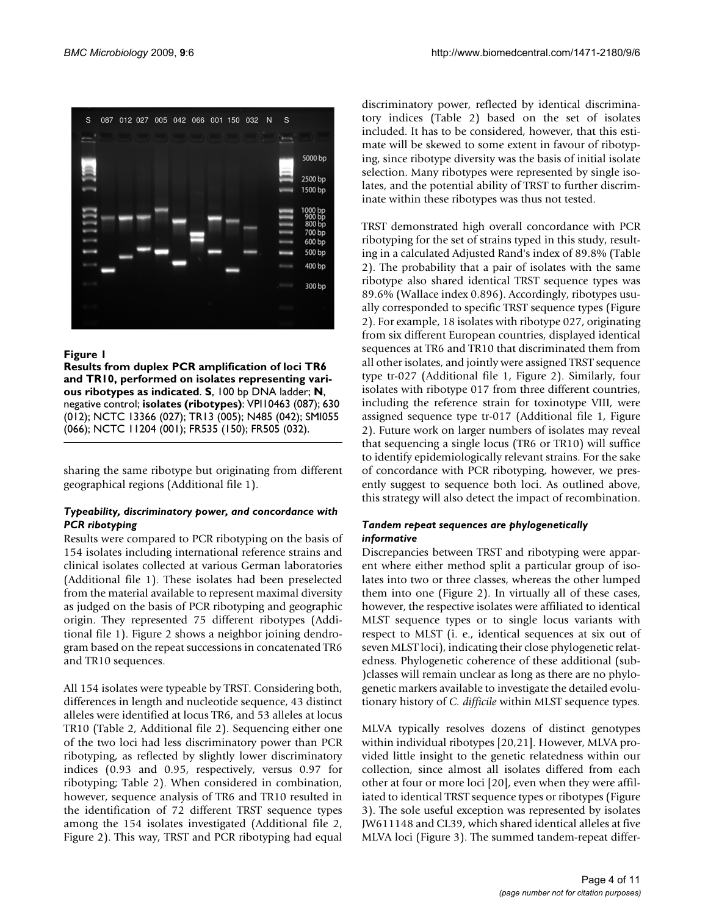

#### **Figure 1**

**Results from duplex PCR amplification of loci TR6 and TR10, performed on isolates representing various ribotypes as indicated**. **S**, 100 bp DNA ladder; **N**, negative control; **isolates (ribotypes)**: VPI10463 (087); 630 (012); NCTC 13366 (027); TR13 (005); N485 (042); SMI055 (066); NCTC 11204 (001); FR535 (150); FR505 (032).

sharing the same ribotype but originating from different geographical regions (Additional file 1).

#### *Typeability, discriminatory power, and concordance with PCR ribotyping*

Results were compared to PCR ribotyping on the basis of 154 isolates including international reference strains and clinical isolates collected at various German laboratories (Additional file 1). These isolates had been preselected from the material available to represent maximal diversity as judged on the basis of PCR ribotyping and geographic origin. They represented 75 different ribotypes (Additional file 1). Figure 2 shows a neighbor joining dendrogram based on the repeat successions in concatenated TR6 and TR10 sequences.

All 154 isolates were typeable by TRST. Considering both, differences in length and nucleotide sequence, 43 distinct alleles were identified at locus TR6, and 53 alleles at locus TR10 (Table 2, Additional file 2). Sequencing either one of the two loci had less discriminatory power than PCR ribotyping, as reflected by slightly lower discriminatory indices (0.93 and 0.95, respectively, versus 0.97 for ribotyping; Table 2). When considered in combination, however, sequence analysis of TR6 and TR10 resulted in the identification of 72 different TRST sequence types among the 154 isolates investigated (Additional file 2, Figure 2). This way, TRST and PCR ribotyping had equal

discriminatory power, reflected by identical discriminatory indices (Table 2) based on the set of isolates included. It has to be considered, however, that this estimate will be skewed to some extent in favour of ribotyping, since ribotype diversity was the basis of initial isolate selection. Many ribotypes were represented by single isolates, and the potential ability of TRST to further discriminate within these ribotypes was thus not tested.

TRST demonstrated high overall concordance with PCR ribotyping for the set of strains typed in this study, resulting in a calculated Adjusted Rand's index of 89.8% (Table 2). The probability that a pair of isolates with the same ribotype also shared identical TRST sequence types was 89.6% (Wallace index 0.896). Accordingly, ribotypes usually corresponded to specific TRST sequence types (Figure 2). For example, 18 isolates with ribotype 027, originating from six different European countries, displayed identical sequences at TR6 and TR10 that discriminated them from all other isolates, and jointly were assigned TRST sequence type tr-027 (Additional file 1, Figure 2). Similarly, four isolates with ribotype 017 from three different countries, including the reference strain for toxinotype VIII, were assigned sequence type tr-017 (Additional file 1, Figure 2). Future work on larger numbers of isolates may reveal that sequencing a single locus (TR6 or TR10) will suffice to identify epidemiologically relevant strains. For the sake of concordance with PCR ribotyping, however, we presently suggest to sequence both loci. As outlined above, this strategy will also detect the impact of recombination.

#### *Tandem repeat sequences are phylogenetically informative*

Discrepancies between TRST and ribotyping were apparent where either method split a particular group of isolates into two or three classes, whereas the other lumped them into one (Figure 2). In virtually all of these cases, however, the respective isolates were affiliated to identical MLST sequence types or to single locus variants with respect to MLST (i. e., identical sequences at six out of seven MLST loci), indicating their close phylogenetic relatedness. Phylogenetic coherence of these additional (sub- )classes will remain unclear as long as there are no phylogenetic markers available to investigate the detailed evolutionary history of *C. difficile* within MLST sequence types.

MLVA typically resolves dozens of distinct genotypes within individual ribotypes [20,21]. However, MLVA provided little insight to the genetic relatedness within our collection, since almost all isolates differed from each other at four or more loci [20], even when they were affiliated to identical TRST sequence types or ribotypes (Figure 3). The sole useful exception was represented by isolates JW611148 and CL39, which shared identical alleles at five MLVA loci (Figure 3). The summed tandem-repeat differ-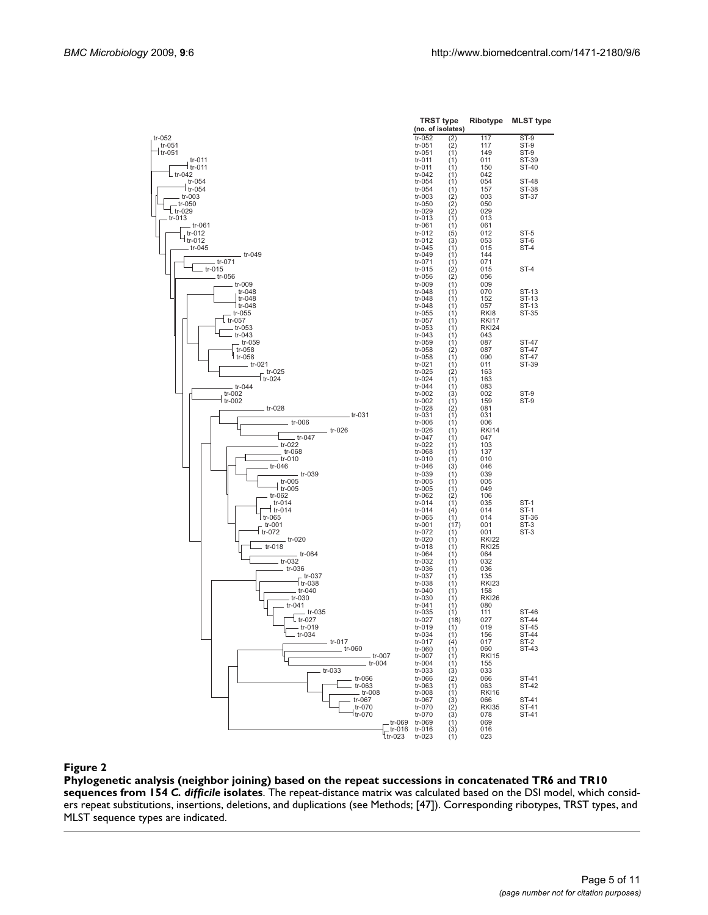

**Phylogenetic analysis (neighbor joining) based on the repeat successions in concatenated TR6 and TR10 sequences from 154** *C. difficile* **isolates**. The repeat-distance matrix was calculated based on the DSI model, which considers repeat substitutions, insertions, deletions, and duplications (see Methods; [47]). Corresponding ribotypes, TRST types, and MLST sequence types are indicated.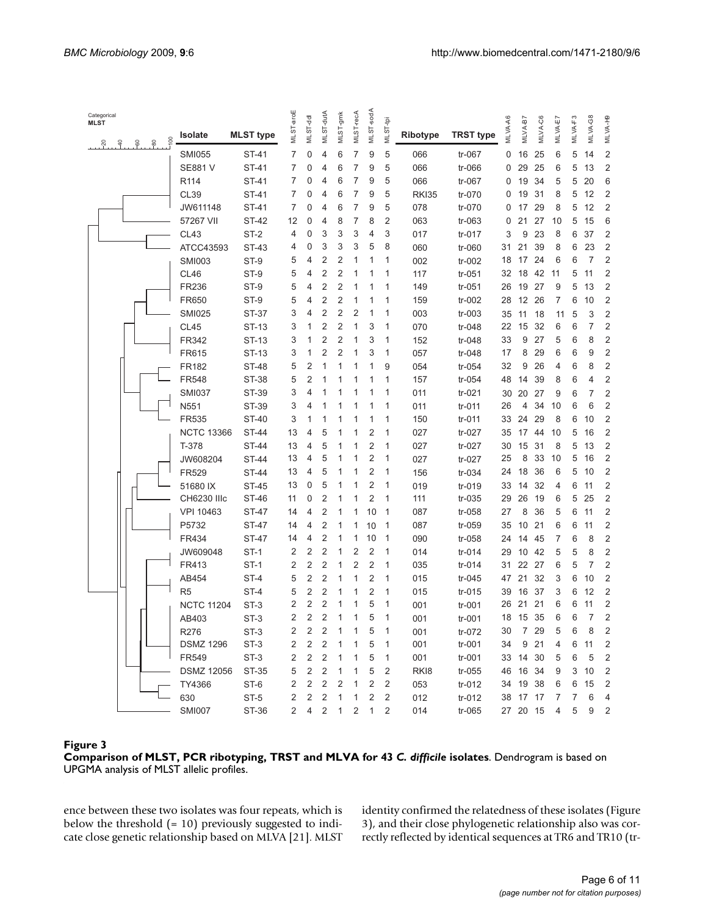| Categorical<br><b>MLST</b> |                                        |                   |                  |                |                |                         |                |                  |                |                |                  |                  |         |                |         |         |                    |                |                         |
|----------------------------|----------------------------------------|-------------------|------------------|----------------|----------------|-------------------------|----------------|------------------|----------------|----------------|------------------|------------------|---------|----------------|---------|---------|--------------------|----------------|-------------------------|
|                            | 8<br>$\overline{A}$ .<br>$-60$<br>္မွိ | Isolate           | <b>MLST</b> type | MLSTaroE       | MLST-dd        | MLST-dutA               | MLST-gmk       | <b>MLST-recA</b> | MLST-sodA      | MLST-tpi       | <b>Ribotype</b>  | <b>TRST type</b> | MLVA-A6 | <b>NLVAB7</b>  | MLVA-C6 | MLVA-E7 | MLVA <sub>F3</sub> | MLVA-G8        | MLVA-H9                 |
|                            |                                        | <b>SMI055</b>     | ST-41            | 7              | 0              | 4                       | 6              | 7                | 9              | 5              | 066              | tr-067           | 0       | 16             | 25      | 6       | 5                  | 14             | $\overline{c}$          |
|                            |                                        | <b>SE881 V</b>    | ST-41            | 7              | 0              | 4                       | 6              | 7                | 9              | 5              | 066              | tr-066           | 0       | 29             | 25      | 6       | 5                  | 13             | $\overline{2}$          |
|                            |                                        | R <sub>114</sub>  | ST-41            | 7              | 0              | 4                       | 6              | 7                | 9              | 5              | 066              | tr-067           | 0       | 19             | 34      | 5       | 5                  | 20             | 6                       |
|                            |                                        | <b>CL39</b>       | <b>ST-41</b>     | 7              | 0              | 4                       | 6              | 7                | 9              | 5              | <b>RKI35</b>     | tr-070           | 0       | 19             | 31      | 8       | 5                  | 12             | 2                       |
|                            |                                        | JW611148          | ST-41            | 7              | 0              | 4                       | 6              | 7                | 9              | 5              | 078              | tr-070           | 0       | 17             | 29      | 8       | 5                  | 12             | $\sqrt{2}$              |
|                            |                                        | 57267 VII         | <b>ST-42</b>     | 12             | 0              | 4                       | 8              | 7                | 8              | $\overline{2}$ | 063              | $tr-063$         | 0       | 21             | 27      | 10      | 5                  | 15             | 6                       |
|                            |                                        | CL43              | ST-2             | 4              | 0              | 3                       | 3              | 3                | 4              | 3              | 017              | tr-017           | 3       | 9              | 23      | 8       | 6                  | 37             | $\overline{2}$          |
|                            |                                        | ATCC43593         | ST-43            | 4              | 0              | 3                       | 3              | 3                | 5              | 8              | 060              | tr-060           | 31      | 21             | 39      | 8       | 6                  | 23             | $\overline{2}$          |
|                            |                                        | <b>SMI003</b>     | ST-9             | 5              | 4              | 2                       | $\overline{2}$ | 1                | 1              | 1              | 002              | tr-002           | 18      | 17             | 24      | 6       | 6                  | $\overline{7}$ | $\overline{2}$          |
|                            |                                        | CL46              | ST-9             | 5              | 4              | 2                       | $\overline{2}$ | 1                | 1              | 1              | 117              | $tr-051$         | 32      | 18             | 42      | 11      | 5                  | 11             | $\overline{c}$          |
|                            |                                        | FR236             | ST-9             | 5              | 4              | 2                       | $\overline{2}$ | 1                | 1              | 1              | 149              | $tr-051$         | 26      | 19             | 27      | 9       | 5                  | 13             | $\sqrt{2}$              |
|                            |                                        | FR650             | ST-9             | 5              | 4              | 2                       | $\overline{2}$ | 1                | 1              | 1              | 159              | tr-002           | 28      | 12 26          |         | 7       | 6                  | 10             | $\overline{2}$          |
|                            |                                        | <b>SMI025</b>     | ST-37            | 3              | 4              | 2                       | $\overline{2}$ | 2                | 1              | 1              | 003              | $tr-003$         | 35      | 11             | 18      | 11      | 5                  | 3              | $\overline{c}$          |
|                            |                                        | <b>CL45</b>       | ST-13            | 3              | 1              | 2                       | 2              | 1                | 3              | 1              | 070              | tr-048           | 22      | 15             | 32      | 6       | 6                  | 7              | $\overline{c}$          |
|                            |                                        | FR342             | ST-13            | 3              | 1              | 2                       | 2              | 1                | 3              | 1              | 152              | tr-048           | 33      | 9              | 27      | 5       | 6                  | 8              | 2                       |
|                            |                                        | FR615             | ST-13            | 3              | 1              | 2                       | $\overline{2}$ | 1                | 3              | 1              | 057              | tr-048           | 17      | 8              | 29      | 6       | 6                  | 9              | $\overline{c}$          |
|                            |                                        | FR182             | <b>ST-48</b>     | 5              | $\overline{2}$ | 1                       | 1              | 1                | 1              | 9              | 054              | tr-054           | 32      | 9              | 26      | 4       | 6                  | 8              | $\overline{2}$          |
|                            |                                        | <b>FR548</b>      | ST-38            | 5              | 2              | 1                       | 1              | 1                | 1              | 1              | 157              | tr-054           | 48      | 14             | 39      | 8       | 6                  | 4              | $\overline{2}$          |
|                            |                                        | <b>SMI037</b>     | ST-39            | 3              | 4              | 1                       | 1              | 1                | 1              | 1              | 011              | $tr-021$         | 30      | 20             | 27      | 9       | 6                  | 7              | $\overline{2}$          |
|                            |                                        | N551              | ST-39            | 3              | 4              | 1                       | 1              | 1                | 1              | 1              | 011              | $tr-011$         | 26      | 4              | 34      | 10      | 6                  | 6              | $\overline{2}$          |
|                            |                                        | FR535             | ST-40            | 3              | 1              | 1                       | 1              | 1                | 1              | 1              | 150              | tr-011           | 33      | 24             | 29      | 8       | 6                  | 10             | $\overline{2}$          |
|                            |                                        | <b>NCTC 13366</b> | ST-44            | 13             | 4              | 5                       | 1              | 1                | $\overline{2}$ | 1              | 027              | tr-027           | 35      | 17             | 44      | 10      | 5                  | 16             | $\sqrt{2}$              |
|                            |                                        | T-378             | ST-44            | 13             | 4              | 5                       | 1              | 1                | $\overline{2}$ | 1              | 027              | tr-027           | 30      | 15             | 31      | 8       | 5                  | 13             | $\sqrt{2}$              |
|                            |                                        | JW608204          | <b>ST-44</b>     | 13             | 4              | 5                       | 1              | 1                | $\overline{2}$ | 1              | 027              | tr-027           | 25      | 8              | 33      | 10      | 5                  | 16             | $\overline{c}$          |
|                            |                                        | FR529             | ST-44            | 13             | 4              | 5                       | 1              | 1                | $\overline{2}$ | 1              | 156              | tr-034           | 24      | 18             | 36      | 6       | 5                  | 10             | $\overline{c}$          |
|                            |                                        | 51680 IX          | <b>ST-45</b>     | 13             | 0              | 5                       | 1              | 1                | $\overline{2}$ | 1              | 019              | $tr-019$         | 33      | 14             | 32      | 4       | 6                  | 11             | $\overline{c}$          |
|                            |                                        | CH6230 IIIc       | ST-46            | 11             | 0              | 2                       | 1              | 1                | $\overline{2}$ | 1              | 111              | $tr-035$         | 29      | 26             | 19      | 6       | 5                  | 25             | $\sqrt{2}$              |
|                            |                                        | <b>VPI 10463</b>  | ST-47            | 14             | 4              | $\overline{2}$          | 1              | 1                | 10             | 1              | 087              | $tr-058$         | 27      | 8              | 36      | 5       | 6                  | 11             | $\overline{2}$          |
|                            |                                        | P5732             | <b>ST-47</b>     | 14             | 4              | $\overline{2}$          | 1              | 1                | 10             | 1              | 087              | tr-059           | 35      | 10             | 21      | 6       | 6                  | 11             | $\overline{2}$          |
|                            |                                        | FR434             | ST-47            | 14             | 4              | 2                       | 1              | 1                | 10             | 1              | 090              | tr-058           | 24      | 14             | 45      | 7       | 6                  | 8              | $\mathbf 2$             |
|                            |                                        | JW609048          | ST-1             | 2              | 2              | 2                       | 1              | 2                | 2              | 1              | 014              | $tr-014$         | 29      | 10             | 42      | 5       | 5                  | 8              | $\overline{2}$          |
|                            |                                        | FR413             | ST-1             | $\overline{2}$ | 2              | 2                       | 1              | 2                | $\overline{2}$ | 1              | 035              | $tr-014$         | 31      | 22             | 27      | 6       | 5                  | $\overline{7}$ | $\overline{2}$          |
|                            |                                        | AB454             | ST-4             | 5              | 2              | 2                       | 1              | 1                | $\overline{2}$ | 1              | 015              | $tr-045$         | 47      | 21             | 32      | 3       | 6                  | 10             | $\overline{2}$          |
|                            |                                        | R <sub>5</sub>    | ST-4             | 5              | 2              | 2                       | 1              | 1                | $\overline{2}$ | 1              | 015              | $tr-015$         | 39      | 16             | 37      | 3       | 6                  | 12             | $\sqrt{2}$              |
|                            |                                        | <b>NCTC 11204</b> | ST-3             | 2              | 2              | 2                       | 1              | 1                | 5              | 1              | 001              | tr-001           | 26      | 21             | 21      | 6       | 6                  | 11             | $\overline{2}$          |
|                            |                                        | AB403             | ST-3             | 2              | 2              | 2                       | 1              | 1                | 5              | 1              | 001              | tr-001           |         | 18 15 35       |         | 6       | 6                  | $\overline{7}$ | 2                       |
|                            |                                        | R276              | ST-3             | 2              | 2              | 2                       | 1              | 1                | 5              | 1              | 001              | tr-072           | 30      | $\overline{7}$ | 29      | 5       | 6                  | 8              | 2                       |
|                            |                                        | <b>DSMZ 1296</b>  | ST-3             | 2              | $\overline{2}$ | 2                       | 1              | 1                | 5              | 1              | 001              | tr-001           | 34      | 9              | 21      | 4       | 6                  | 11             | 2                       |
|                            |                                        | FR549             | ST-3             | $\overline{2}$ | 2              | 2                       | 1              | 1                | 5              | 1              | 001              | tr-001           |         | 33 14 30       |         | 5       | 6                  | 5              | $\overline{\mathbf{c}}$ |
|                            |                                        | <b>DSMZ 12056</b> | ST-35            | 5              | 2              | 2                       | 1              | 1                | 5              | $\overline{2}$ | RK <sub>I8</sub> | tr-055           |         | 46 16 34       |         | 9       | 3                  | 10             | $\overline{\mathbf{c}}$ |
|                            |                                        | TY4366            | ST-6             | 2              | $\overline{2}$ | $\overline{2}$          | 2              | 1                | 2              | $\overline{2}$ | 053              | $tr-012$         |         | 34 19 38       |         | 6       | 6                  | 15             | 2                       |
|                            |                                        | 630               | ST-5             | 2              | 2              | $\overline{\mathbf{c}}$ | 1              | 1                | 2              | 2              | 012              | $tr-012$         |         | 38 17 17       |         | 7       | 7                  | 6              | $\overline{4}$          |
|                            |                                        | <b>SMI007</b>     | ST-36            | 2              | 4              | $\overline{2}$          | $\mathbf{1}$   | 2                | $\mathbf{1}$   | $\overline{2}$ | 014              | tr-065           |         | 27 20 15       |         | 4       | 5                  | 9              | $\overline{c}$          |
|                            |                                        |                   |                  |                |                |                         |                |                  |                |                |                  |                  |         |                |         |         |                    |                |                         |

#### Figure 3

**Comparison of MLST, PCR ribotyping, TRST and MLVA for 43** *C. difficile* **isolates**. Dendrogram is based on UPGMA analysis of MLST allelic profiles.

ence between these two isolates was four repeats, which is below the threshold (= 10) previously suggested to indicate close genetic relationship based on MLVA [21]. MLST identity confirmed the relatedness of these isolates (Figure 3), and their close phylogenetic relationship also was correctly reflected by identical sequences at TR6 and TR10 (tr-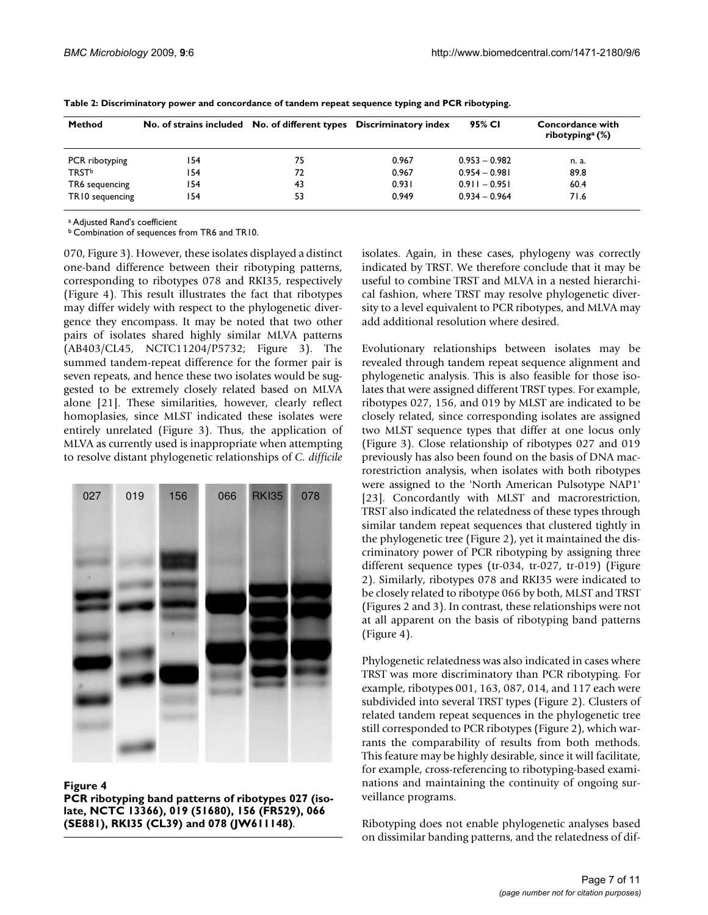| <b>Method</b>   | No. of strains included No. of different types Discriminatory index |    |       | 95% CI          | Concordance with<br>ribotyping <sup>a</sup> $(\%)$ |  |  |  |
|-----------------|---------------------------------------------------------------------|----|-------|-----------------|----------------------------------------------------|--|--|--|
| PCR ribotyping  | 154                                                                 | 75 | 0.967 | $0.953 - 0.982$ | n. a.                                              |  |  |  |
| <b>TRSTb</b>    | 154                                                                 | 72 | 0.967 | $0.954 - 0.981$ | 89.8                                               |  |  |  |
| TR6 sequencing  | 154                                                                 | 43 | 0.931 | $0.911 - 0.951$ | 60.4                                               |  |  |  |
| TR10 sequencing | 54 ا                                                                | 53 | 0.949 | $0.934 - 0.964$ | 71.6                                               |  |  |  |

**Table 2: Discriminatory power and concordance of tandem repeat sequence typing and PCR ribotyping.**

a Adjusted Rand's coefficient

b Combination of sequences from TR6 and TR10.

070, Figure 3). However, these isolates displayed a distinct one-band difference between their ribotyping patterns, corresponding to ribotypes 078 and RKI35, respectively (Figure 4). This result illustrates the fact that ribotypes may differ widely with respect to the phylogenetic divergence they encompass. It may be noted that two other pairs of isolates shared highly similar MLVA patterns (AB403/CL45, NCTC11204/P5732; Figure 3). The summed tandem-repeat difference for the former pair is seven repeats, and hence these two isolates would be suggested to be extremely closely related based on MLVA alone [21]. These similarities, however, clearly reflect homoplasies, since MLST indicated these isolates were entirely unrelated (Figure 3). Thus, the application of MLVA as currently used is inappropriate when attempting to resolve distant phylogenetic relationships of *C. difficile*



#### **Figure 4**

**PCR ribotyping band patterns of ribotypes 027 (isolate, NCTC 13366), 019 (51680), 156 (FR529), 066 (SE881), RKI35 (CL39) and 078 (JW611148)**.

isolates. Again, in these cases, phylogeny was correctly indicated by TRST. We therefore conclude that it may be useful to combine TRST and MLVA in a nested hierarchical fashion, where TRST may resolve phylogenetic diversity to a level equivalent to PCR ribotypes, and MLVA may add additional resolution where desired.

Evolutionary relationships between isolates may be revealed through tandem repeat sequence alignment and phylogenetic analysis. This is also feasible for those isolates that were assigned different TRST types. For example, ribotypes 027, 156, and 019 by MLST are indicated to be closely related, since corresponding isolates are assigned two MLST sequence types that differ at one locus only (Figure 3). Close relationship of ribotypes 027 and 019 previously has also been found on the basis of DNA macrorestriction analysis, when isolates with both ribotypes were assigned to the 'North American Pulsotype NAP1' [23]. Concordantly with MLST and macrorestriction, TRST also indicated the relatedness of these types through similar tandem repeat sequences that clustered tightly in the phylogenetic tree (Figure 2), yet it maintained the discriminatory power of PCR ribotyping by assigning three different sequence types (tr-034, tr-027, tr-019) (Figure 2). Similarly, ribotypes 078 and RKI35 were indicated to be closely related to ribotype 066 by both, MLST and TRST (Figures 2 and 3). In contrast, these relationships were not at all apparent on the basis of ribotyping band patterns (Figure 4).

Phylogenetic relatedness was also indicated in cases where TRST was more discriminatory than PCR ribotyping. For example, ribotypes 001, 163, 087, 014, and 117 each were subdivided into several TRST types (Figure 2). Clusters of related tandem repeat sequences in the phylogenetic tree still corresponded to PCR ribotypes (Figure 2), which warrants the comparability of results from both methods. This feature may be highly desirable, since it will facilitate, for example, cross-referencing to ribotyping-based examinations and maintaining the continuity of ongoing surveillance programs.

Ribotyping does not enable phylogenetic analyses based on dissimilar banding patterns, and the relatedness of dif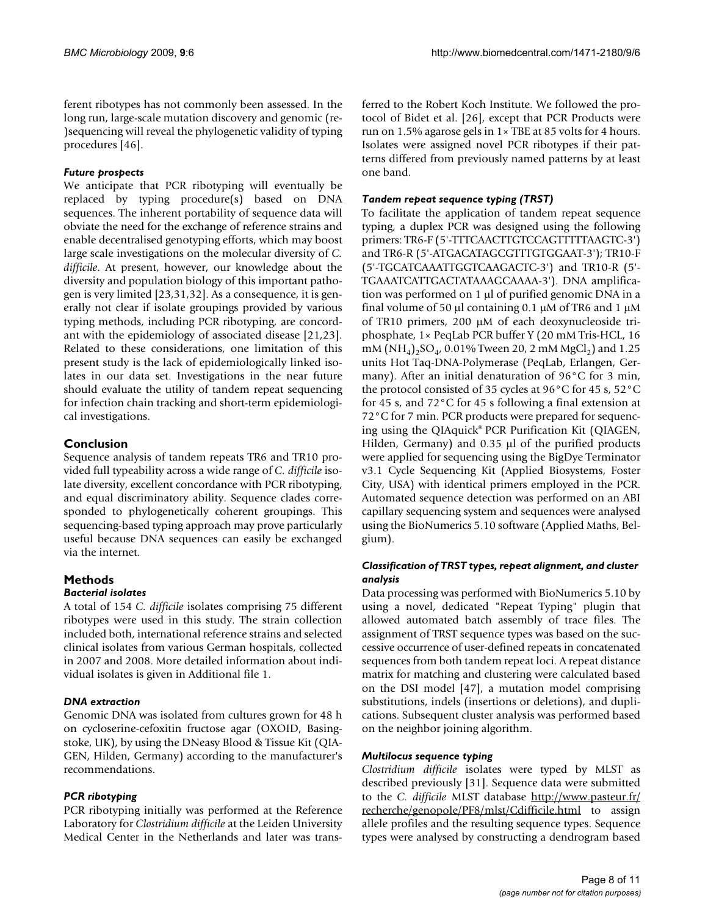ferent ribotypes has not commonly been assessed. In the long run, large-scale mutation discovery and genomic (re- )sequencing will reveal the phylogenetic validity of typing procedures [46].

#### *Future prospects*

We anticipate that PCR ribotyping will eventually be replaced by typing procedure(s) based on DNA sequences. The inherent portability of sequence data will obviate the need for the exchange of reference strains and enable decentralised genotyping efforts, which may boost large scale investigations on the molecular diversity of *C. difficile*. At present, however, our knowledge about the diversity and population biology of this important pathogen is very limited [23,31,32]. As a consequence, it is generally not clear if isolate groupings provided by various typing methods, including PCR ribotyping, are concordant with the epidemiology of associated disease [21,23]. Related to these considerations, one limitation of this present study is the lack of epidemiologically linked isolates in our data set. Investigations in the near future should evaluate the utility of tandem repeat sequencing for infection chain tracking and short-term epidemiological investigations.

### **Conclusion**

Sequence analysis of tandem repeats TR6 and TR10 provided full typeability across a wide range of *C. difficile* isolate diversity, excellent concordance with PCR ribotyping, and equal discriminatory ability. Sequence clades corresponded to phylogenetically coherent groupings. This sequencing-based typing approach may prove particularly useful because DNA sequences can easily be exchanged via the internet.

# **Methods**

#### *Bacterial isolates*

A total of 154 *C. difficile* isolates comprising 75 different ribotypes were used in this study. The strain collection included both, international reference strains and selected clinical isolates from various German hospitals, collected in 2007 and 2008. More detailed information about individual isolates is given in Additional file 1.

#### *DNA extraction*

Genomic DNA was isolated from cultures grown for 48 h on cycloserine-cefoxitin fructose agar (OXOID, Basingstoke, UK), by using the DNeasy Blood & Tissue Kit (QIA-GEN, Hilden, Germany) according to the manufacturer's recommendations.

# *PCR ribotyping*

PCR ribotyping initially was performed at the Reference Laboratory for *Clostridium difficile* at the Leiden University Medical Center in the Netherlands and later was transferred to the Robert Koch Institute. We followed the protocol of Bidet et al. [26], except that PCR Products were run on 1.5% agarose gels in 1× TBE at 85 volts for 4 hours. Isolates were assigned novel PCR ribotypes if their patterns differed from previously named patterns by at least one band.

#### *Tandem repeat sequence typing (TRST)*

To facilitate the application of tandem repeat sequence typing, a duplex PCR was designed using the following primers: TR6-F (5'-TTTCAACTTGTCCAGTTTTTAAGTC-3') and TR6-R (5'-ATGACATAGCGTTTGTGGAAT-3'); TR10-F (5'-TGCATCAAATTGGTCAAGACTC-3') and TR10-R (5'- TGAAATCATTGACTATAAAGCAAAA-3'). DNA amplification was performed on 1 μl of purified genomic DNA in a final volume of 50 μl containing 0.1 μM of TR6 and 1 μM of TR10 primers, 200 μM of each deoxynucleoside triphosphate, 1× PeqLab PCR buffer Y (20 mM Tris-HCL, 16 mM  $(NH_4)$ <sub>2</sub>SO<sub>4</sub>, 0.01% Tween 20, 2 mM MgCl<sub>2</sub>) and 1.25 units Hot Taq-DNA-Polymerase (PeqLab, Erlangen, Germany). After an initial denaturation of 96°C for 3 min, the protocol consisted of 35 cycles at 96°C for 45 s, 52°C for 45 s, and 72°C for 45 s following a final extension at 72°C for 7 min. PCR products were prepared for sequencing using the QIAquick® PCR Purification Kit (QIAGEN, Hilden, Germany) and 0.35 μl of the purified products were applied for sequencing using the BigDye Terminator v3.1 Cycle Sequencing Kit (Applied Biosystems, Foster City, USA) with identical primers employed in the PCR. Automated sequence detection was performed on an ABI capillary sequencing system and sequences were analysed using the BioNumerics 5.10 software (Applied Maths, Belgium).

#### *Classification of TRST types, repeat alignment, and cluster analysis*

Data processing was performed with BioNumerics 5.10 by using a novel, dedicated "Repeat Typing" plugin that allowed automated batch assembly of trace files. The assignment of TRST sequence types was based on the successive occurrence of user-defined repeats in concatenated sequences from both tandem repeat loci. A repeat distance matrix for matching and clustering were calculated based on the DSI model [47], a mutation model comprising substitutions, indels (insertions or deletions), and duplications. Subsequent cluster analysis was performed based on the neighbor joining algorithm.

#### *Multilocus sequence typing*

*Clostridium difficile* isolates were typed by MLST as described previously [31]. Sequence data were submitted to the *C. difficile* MLST database [http://www.pasteur.fr/](http://www.pasteur.fr/recherche/genopole/PF8/mlst/Cdifficile.html) [recherche/genopole/PF8/mlst/Cdifficile.html](http://www.pasteur.fr/recherche/genopole/PF8/mlst/Cdifficile.html) to assign allele profiles and the resulting sequence types. Sequence types were analysed by constructing a dendrogram based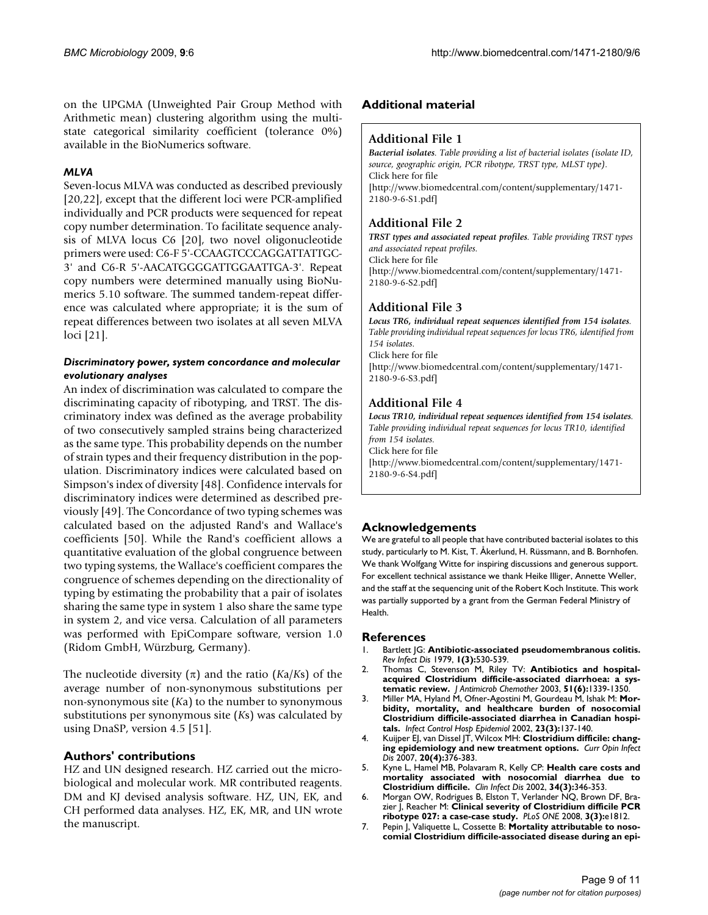on the UPGMA (Unweighted Pair Group Method with Arithmetic mean) clustering algorithm using the multistate categorical similarity coefficient (tolerance 0%) available in the BioNumerics software.

#### *MLVA*

Seven-locus MLVA was conducted as described previously [20,22], except that the different loci were PCR-amplified individually and PCR products were sequenced for repeat copy number determination. To facilitate sequence analysis of MLVA locus C6 [20], two novel oligonucleotide primers were used: C6-F 5'-CCAAGTCCCAGGATTATTGC-3' and C6-R 5'-AACATGGGGATTGGAATTGA-3'. Repeat copy numbers were determined manually using BioNumerics 5.10 software. The summed tandem-repeat difference was calculated where appropriate; it is the sum of repeat differences between two isolates at all seven MLVA loci [21].

#### *Discriminatory power, system concordance and molecular evolutionary analyses*

An index of discrimination was calculated to compare the discriminating capacity of ribotyping, and TRST. The discriminatory index was defined as the average probability of two consecutively sampled strains being characterized as the same type. This probability depends on the number of strain types and their frequency distribution in the population. Discriminatory indices were calculated based on Simpson's index of diversity [48]. Confidence intervals for discriminatory indices were determined as described previously [49]. The Concordance of two typing schemes was calculated based on the adjusted Rand's and Wallace's coefficients [50]. While the Rand's coefficient allows a quantitative evaluation of the global congruence between two typing systems, the Wallace's coefficient compares the congruence of schemes depending on the directionality of typing by estimating the probability that a pair of isolates sharing the same type in system 1 also share the same type in system 2, and vice versa. Calculation of all parameters was performed with EpiCompare software, version 1.0 (Ridom GmbH, Würzburg, Germany).

The nucleotide diversity  $(\pi)$  and the ratio (*Ka/Ks*) of the average number of non-synonymous substitutions per non-synonymous site (*K*a) to the number to synonymous substitutions per synonymous site (*K*s) was calculated by using DnaSP, version 4.5 [51].

#### **Authors' contributions**

HZ and UN designed research. HZ carried out the microbiological and molecular work. MR contributed reagents. DM and KJ devised analysis software. HZ, UN, EK, and CH performed data analyses. HZ, EK, MR, and UN wrote the manuscript.

#### **Additional material**

#### **Additional File 1**

*Bacterial isolates. Table providing a list of bacterial isolates (isolate ID, source, geographic origin, PCR ribotype, TRST type, MLST type).* Click here for file [\[http://www.biomedcentral.com/content/supplementary/1471-](http://www.biomedcentral.com/content/supplementary/1471-2180-9-6-S1.pdf) 2180-9-6-S1.pdf]

### **Additional File 2**

*TRST types and associated repeat profiles. Table providing TRST types and associated repeat profiles.* Click here for file [\[http://www.biomedcentral.com/content/supplementary/1471-](http://www.biomedcentral.com/content/supplementary/1471-2180-9-6-S2.pdf) 2180-9-6-S2.pdf]

#### **Additional File 3**

*Locus TR6, individual repeat sequences identified from 154 isolates. Table providing individual repeat sequences for locus TR6, identified from 154 isolates.* Click here for file

[\[http://www.biomedcentral.com/content/supplementary/1471-](http://www.biomedcentral.com/content/supplementary/1471-2180-9-6-S3.pdf) 2180-9-6-S3.pdf]

# **Additional File 4**

*Locus TR10, individual repeat sequences identified from 154 isolates. Table providing individual repeat sequences for locus TR10, identified from 154 isolates.* Click here for file [\[http://www.biomedcentral.com/content/supplementary/1471-](http://www.biomedcentral.com/content/supplementary/1471-2180-9-6-S4.pdf)

2180-9-6-S4.pdf]

# **Acknowledgements**

We are grateful to all people that have contributed bacterial isolates to this study, particularly to M. Kist, T. Åkerlund, H. Rüssmann, and B. Bornhofen. We thank Wolfgang Witte for inspiring discussions and generous support. For excellent technical assistance we thank Heike Illiger, Annette Weller, and the staff at the sequencing unit of the Robert Koch Institute. This work was partially supported by a grant from the German Federal Ministry of Health.

#### **References**

- 1. Bartlett JG: **[Antibiotic-associated pseudomembranous colitis.](http://www.ncbi.nlm.nih.gov/entrez/query.fcgi?cmd=Retrieve&db=PubMed&dopt=Abstract&list_uids=399365)** *Rev Infect Dis* 1979, **1(3):**530-539.
- 2. Thomas C, Stevenson M, Riley TV: **[Antibiotics and hospital](http://www.ncbi.nlm.nih.gov/entrez/query.fcgi?cmd=Retrieve&db=PubMed&dopt=Abstract&list_uids=12746372)[acquired Clostridium difficile-associated diarrhoea: a sys](http://www.ncbi.nlm.nih.gov/entrez/query.fcgi?cmd=Retrieve&db=PubMed&dopt=Abstract&list_uids=12746372)[tematic review.](http://www.ncbi.nlm.nih.gov/entrez/query.fcgi?cmd=Retrieve&db=PubMed&dopt=Abstract&list_uids=12746372)** *J Antimicrob Chemother* 2003, **51(6):**1339-1350.
- 3. Miller MA, Hyland M, Ofner-Agostini M, Gourdeau M, Ishak M: **[Mor](http://www.ncbi.nlm.nih.gov/entrez/query.fcgi?cmd=Retrieve&db=PubMed&dopt=Abstract&list_uids=11918118)[bidity, mortality, and healthcare burden of nosocomial](http://www.ncbi.nlm.nih.gov/entrez/query.fcgi?cmd=Retrieve&db=PubMed&dopt=Abstract&list_uids=11918118) Clostridium difficile-associated diarrhea in Canadian hospi[tals.](http://www.ncbi.nlm.nih.gov/entrez/query.fcgi?cmd=Retrieve&db=PubMed&dopt=Abstract&list_uids=11918118)** *Infect Control Hosp Epidemiol* 2002, **23(3):**137-140.
- 4. Kuijper EJ, van Dissel JT, Wilcox MH: **[Clostridium difficile: chang](http://www.ncbi.nlm.nih.gov/entrez/query.fcgi?cmd=Retrieve&db=PubMed&dopt=Abstract&list_uids=17609596)[ing epidemiology and new treatment options.](http://www.ncbi.nlm.nih.gov/entrez/query.fcgi?cmd=Retrieve&db=PubMed&dopt=Abstract&list_uids=17609596)** *Curr Opin Infect Dis* 2007, **20(4):**376-383.
- 5. Kyne L, Hamel MB, Polavaram R, Kelly CP: **[Health care costs and](http://www.ncbi.nlm.nih.gov/entrez/query.fcgi?cmd=Retrieve&db=PubMed&dopt=Abstract&list_uids=11774082) [mortality associated with nosocomial diarrhea due to](http://www.ncbi.nlm.nih.gov/entrez/query.fcgi?cmd=Retrieve&db=PubMed&dopt=Abstract&list_uids=11774082) [Clostridium difficile.](http://www.ncbi.nlm.nih.gov/entrez/query.fcgi?cmd=Retrieve&db=PubMed&dopt=Abstract&list_uids=11774082)** *Clin Infect Dis* 2002, **34(3):**346-353.
- 6. Morgan OW, Rodrigues B, Elston T, Verlander NQ, Brown DF, Brazier J, Reacher M: **[Clinical severity of Clostridium difficile PCR](http://www.ncbi.nlm.nih.gov/entrez/query.fcgi?cmd=Retrieve&db=PubMed&dopt=Abstract&list_uids=18350149) [ribotype 027: a case-case study.](http://www.ncbi.nlm.nih.gov/entrez/query.fcgi?cmd=Retrieve&db=PubMed&dopt=Abstract&list_uids=18350149)** *PLoS ONE* 2008, **3(3):**e1812.
- 7. Pepin J, Valiquette L, Cossette B: **[Mortality attributable to noso](http://www.ncbi.nlm.nih.gov/entrez/query.fcgi?cmd=Retrieve&db=PubMed&dopt=Abstract&list_uids=16179431)[comial Clostridium difficile-associated disease during an epi](http://www.ncbi.nlm.nih.gov/entrez/query.fcgi?cmd=Retrieve&db=PubMed&dopt=Abstract&list_uids=16179431)-**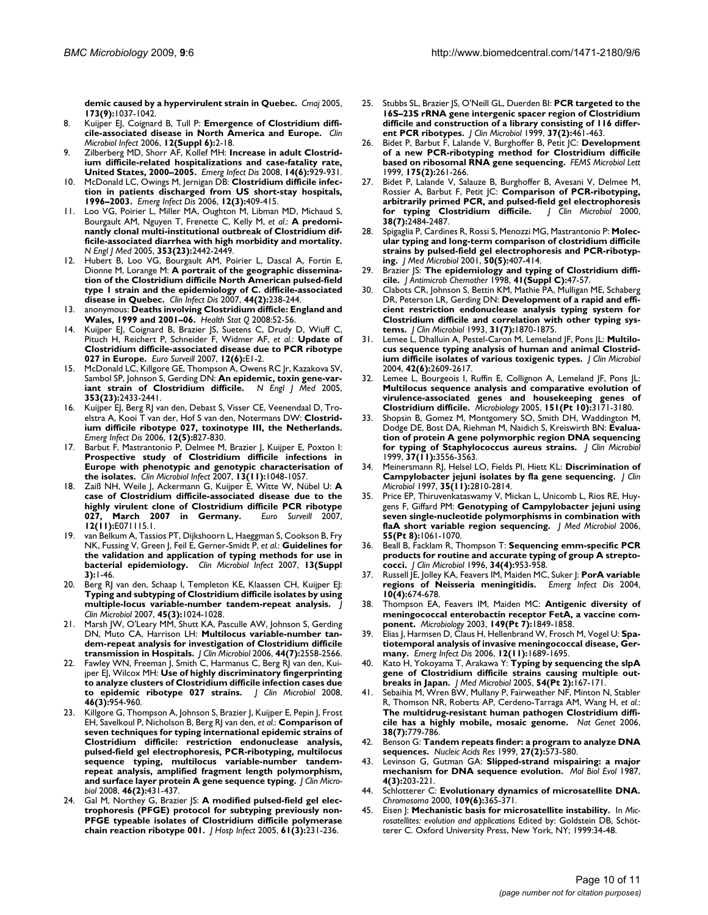**[demic caused by a hypervirulent strain in Quebec.](http://www.ncbi.nlm.nih.gov/entrez/query.fcgi?cmd=Retrieve&db=PubMed&dopt=Abstract&list_uids=16179431)** *Cmaj* 2005, **173(9):**1037-1042.

- 8. Kuijper EJ, Coignard B, Tull P: **[Emergence of Clostridium diffi](http://www.ncbi.nlm.nih.gov/entrez/query.fcgi?cmd=Retrieve&db=PubMed&dopt=Abstract&list_uids=16965399)[cile-associated disease in North America and Europe.](http://www.ncbi.nlm.nih.gov/entrez/query.fcgi?cmd=Retrieve&db=PubMed&dopt=Abstract&list_uids=16965399)** *Clin Microbiol Infect* 2006, **12(Suppl 6):**2-18.
- 9. Zilberberg MD, Shorr AF, Kollef MH: **[Increase in adult Clostrid](http://www.ncbi.nlm.nih.gov/entrez/query.fcgi?cmd=Retrieve&db=PubMed&dopt=Abstract&list_uids=18507904)[ium difficile-related hospitalizations and case-fatality rate,](http://www.ncbi.nlm.nih.gov/entrez/query.fcgi?cmd=Retrieve&db=PubMed&dopt=Abstract&list_uids=18507904) [United States, 2000–2005.](http://www.ncbi.nlm.nih.gov/entrez/query.fcgi?cmd=Retrieve&db=PubMed&dopt=Abstract&list_uids=18507904)** *Emerg Infect Dis* 2008, **14(6):**929-931.
- 10. McDonald LC, Owings M, Jernigan DB: **[Clostridium difficile infec](http://www.ncbi.nlm.nih.gov/entrez/query.fcgi?cmd=Retrieve&db=PubMed&dopt=Abstract&list_uids=16704777)[tion in patients discharged from US short-stay hospitals,](http://www.ncbi.nlm.nih.gov/entrez/query.fcgi?cmd=Retrieve&db=PubMed&dopt=Abstract&list_uids=16704777) [1996–2003.](http://www.ncbi.nlm.nih.gov/entrez/query.fcgi?cmd=Retrieve&db=PubMed&dopt=Abstract&list_uids=16704777)** *Emerg Infect Dis* 2006, **12(3):**409-415.
- 11. Loo VG, Poirier L, Miller MA, Oughton M, Libman MD, Michaud S, Bourgault AM, Nguyen T, Frenette C, Kelly M, *et al.*: **[A predomi](http://www.ncbi.nlm.nih.gov/entrez/query.fcgi?cmd=Retrieve&db=PubMed&dopt=Abstract&list_uids=16322602)[nantly clonal multi-institutional outbreak of Clostridium dif](http://www.ncbi.nlm.nih.gov/entrez/query.fcgi?cmd=Retrieve&db=PubMed&dopt=Abstract&list_uids=16322602)ficile-associated diarrhea with high morbidity and mortality.** *N Engl J Med* 2005, **353(23):**2442-2449.
- Hubert B, Loo VG, Bourgault AM, Poirier L, Dascal A, Fortin E, Dionne M, Lorange M: **[A portrait of the geographic dissemina](http://www.ncbi.nlm.nih.gov/entrez/query.fcgi?cmd=Retrieve&db=PubMed&dopt=Abstract&list_uids=17173224)[tion of the Clostridium difficile North American pulsed-field](http://www.ncbi.nlm.nih.gov/entrez/query.fcgi?cmd=Retrieve&db=PubMed&dopt=Abstract&list_uids=17173224) type 1 strain and the epidemiology of C. difficile-associated [disease in Quebec.](http://www.ncbi.nlm.nih.gov/entrez/query.fcgi?cmd=Retrieve&db=PubMed&dopt=Abstract&list_uids=17173224)** *Clin Infect Dis* 2007, **44(2):**238-244.
- 13. anonymous: **[Deaths involving Clostridium difficle: England and](http://www.ncbi.nlm.nih.gov/entrez/query.fcgi?cmd=Retrieve&db=PubMed&dopt=Abstract&list_uids=18351026) [Wales, 1999 and 2001–06.](http://www.ncbi.nlm.nih.gov/entrez/query.fcgi?cmd=Retrieve&db=PubMed&dopt=Abstract&list_uids=18351026)** *Health Stat Q* 2008:52-56.
- 14. Kuijper EJ, Coignard B, Brazier JS, Suetens C, Drudy D, Wiuff C, Pituch H, Reichert P, Schneider F, Widmer AF, *et al.*: **[Update of](http://www.ncbi.nlm.nih.gov/entrez/query.fcgi?cmd=Retrieve&db=PubMed&dopt=Abstract&list_uids=17991399) [Clostridium difficile-associated disease due to PCR ribotype](http://www.ncbi.nlm.nih.gov/entrez/query.fcgi?cmd=Retrieve&db=PubMed&dopt=Abstract&list_uids=17991399) [027 in Europe.](http://www.ncbi.nlm.nih.gov/entrez/query.fcgi?cmd=Retrieve&db=PubMed&dopt=Abstract&list_uids=17991399)** *Euro Surveill* 2007, **12(6):**E1-2.
- 15. McDonald LC, Killgore GE, Thompson A, Owens RC Jr, Kazakova SV, Sambol SP, Johnson S, Gerding DN: **[An epidemic, toxin gene-var](http://www.ncbi.nlm.nih.gov/entrez/query.fcgi?cmd=Retrieve&db=PubMed&dopt=Abstract&list_uids=16322603)[iant strain of Clostridium difficile.](http://www.ncbi.nlm.nih.gov/entrez/query.fcgi?cmd=Retrieve&db=PubMed&dopt=Abstract&list_uids=16322603)** *N Engl J Med* 2005, **353(23):**2433-2441.
- 16. Kuijper EJ, Berg RJ van den, Debast S, Visser CE, Veenendaal D, Troelstra A, Kooi T van der, Hof S van den, Notermans DW: **[Clostrid](http://www.ncbi.nlm.nih.gov/entrez/query.fcgi?cmd=Retrieve&db=PubMed&dopt=Abstract&list_uids=16704846)[ium difficile ribotype 027, toxinotype III, the Netherlands.](http://www.ncbi.nlm.nih.gov/entrez/query.fcgi?cmd=Retrieve&db=PubMed&dopt=Abstract&list_uids=16704846)** *Emerg Infect Dis* 2006, **12(5):**827-830.
- 17. Barbut F, Mastrantonio P, Delmee M, Brazier J, Kuijper E, Poxton I: **[Prospective study of Clostridium difficile infections in](http://www.ncbi.nlm.nih.gov/entrez/query.fcgi?cmd=Retrieve&db=PubMed&dopt=Abstract&list_uids=17850341) Europe with phenotypic and genotypic characterisation of [the isolates.](http://www.ncbi.nlm.nih.gov/entrez/query.fcgi?cmd=Retrieve&db=PubMed&dopt=Abstract&list_uids=17850341)** *Clin Microbiol Infect* 2007, **13(11):**1048-1057.
- 18. Zaiß NH, Weile J, Ackermann G, Kuijper E, Witte W, Nübel U: **[A](http://www.ncbi.nlm.nih.gov/entrez/query.fcgi?cmd=Retrieve&db=PubMed&dopt=Abstract&list_uids=18005641) [case of Clostridium difficile-associated disease due to the](http://www.ncbi.nlm.nih.gov/entrez/query.fcgi?cmd=Retrieve&db=PubMed&dopt=Abstract&list_uids=18005641) highly virulent clone of Clostridium difficile PCR ribotype [027, March 2007 in Germany.](http://www.ncbi.nlm.nih.gov/entrez/query.fcgi?cmd=Retrieve&db=PubMed&dopt=Abstract&list_uids=18005641)** *Euro Surveill* 2007, **12(11):**E071115.1.
- van Belkum A, Tassios PT, Dijkshoorn L, Haeggman S, Cookson B, Fry NK, Fussing V, Green J, Feil E, Gerner-Smidt P, *et al.*: **[Guidelines for](http://www.ncbi.nlm.nih.gov/entrez/query.fcgi?cmd=Retrieve&db=PubMed&dopt=Abstract&list_uids=17716294) [the validation and application of typing methods for use in](http://www.ncbi.nlm.nih.gov/entrez/query.fcgi?cmd=Retrieve&db=PubMed&dopt=Abstract&list_uids=17716294) [bacterial epidemiology.](http://www.ncbi.nlm.nih.gov/entrez/query.fcgi?cmd=Retrieve&db=PubMed&dopt=Abstract&list_uids=17716294)** *Clin Microbiol Infect* 2007, **13(Suppl 3):**1-46.
- 20. Berg RJ van den, Schaap I, Templeton KE, Klaassen CH, Kuijper EJ: **[Typing and subtyping of Clostridium difficile isolates by using](http://www.ncbi.nlm.nih.gov/entrez/query.fcgi?cmd=Retrieve&db=PubMed&dopt=Abstract&list_uids=17166961) [multiple-locus variable-number tandem-repeat analysis.](http://www.ncbi.nlm.nih.gov/entrez/query.fcgi?cmd=Retrieve&db=PubMed&dopt=Abstract&list_uids=17166961)** *J Clin Microbiol* 2007, **45(3):**1024-1028.
- 21. Marsh JW, O'Leary MM, Shutt KA, Pasculle AW, Johnson S, Gerding DN, Muto CA, Harrison LH: **[Multilocus variable-number tan](http://www.ncbi.nlm.nih.gov/entrez/query.fcgi?cmd=Retrieve&db=PubMed&dopt=Abstract&list_uids=16825380)[dem-repeat analysis for investigation of Clostridium difficile](http://www.ncbi.nlm.nih.gov/entrez/query.fcgi?cmd=Retrieve&db=PubMed&dopt=Abstract&list_uids=16825380) [transmission in Hospitals.](http://www.ncbi.nlm.nih.gov/entrez/query.fcgi?cmd=Retrieve&db=PubMed&dopt=Abstract&list_uids=16825380)** *J Clin Microbiol* 2006, **44(7):**2558-2566.
- 22. Fawley WN, Freeman J, Smith C, Harmanus C, Berg RJ van den, Kuijper EJ, Wilcox MH: **[Use of highly discriminatory fingerprinting](http://www.ncbi.nlm.nih.gov/entrez/query.fcgi?cmd=Retrieve&db=PubMed&dopt=Abstract&list_uids=18216211) [to analyze clusters of Clostridium difficile infection cases due](http://www.ncbi.nlm.nih.gov/entrez/query.fcgi?cmd=Retrieve&db=PubMed&dopt=Abstract&list_uids=18216211) [to epidemic ribotype 027 strains.](http://www.ncbi.nlm.nih.gov/entrez/query.fcgi?cmd=Retrieve&db=PubMed&dopt=Abstract&list_uids=18216211)** *J Clin Microbiol* 2008, **46(3):**954-960.
- Killgore G, Thompson A, Johnson S, Brazier J, Kuijper E, Pepin J, Frost EH, Savelkoul P, Nicholson B, Berg RJ van den, *et al.*: **[Comparison of](http://www.ncbi.nlm.nih.gov/entrez/query.fcgi?cmd=Retrieve&db=PubMed&dopt=Abstract&list_uids=18039796) [seven techniques for typing international epidemic strains of](http://www.ncbi.nlm.nih.gov/entrez/query.fcgi?cmd=Retrieve&db=PubMed&dopt=Abstract&list_uids=18039796) Clostridium difficile: restriction endonuclease analysis, pulsed-field gel electrophoresis, PCR-ribotyping, multilocus sequence typing, multilocus variable-number tandemrepeat analysis, amplified fragment length polymorphism, [and surface layer protein A gene sequence typing.](http://www.ncbi.nlm.nih.gov/entrez/query.fcgi?cmd=Retrieve&db=PubMed&dopt=Abstract&list_uids=18039796)** *J Clin Microbiol* 2008, **46(2):**431-437.
- 24. Gal M, Northey G, Brazier JS: **[A modified pulsed-field gel elec](http://www.ncbi.nlm.nih.gov/entrez/query.fcgi?cmd=Retrieve&db=PubMed&dopt=Abstract&list_uids=16002184)[trophoresis \(PFGE\) protocol for subtyping previously non-](http://www.ncbi.nlm.nih.gov/entrez/query.fcgi?cmd=Retrieve&db=PubMed&dopt=Abstract&list_uids=16002184)PFGE typeable isolates of Clostridium difficile polymerase [chain reaction ribotype 001.](http://www.ncbi.nlm.nih.gov/entrez/query.fcgi?cmd=Retrieve&db=PubMed&dopt=Abstract&list_uids=16002184)** *J Hosp Infect* 2005, **61(3):**231-236.
- 25. Stubbs SL, Brazier JS, O'Neill GL, Duerden BI: **[PCR targeted to the](http://www.ncbi.nlm.nih.gov/entrez/query.fcgi?cmd=Retrieve&db=PubMed&dopt=Abstract&list_uids=9889244) [16S–23S rRNA gene intergenic spacer region of Clostridium](http://www.ncbi.nlm.nih.gov/entrez/query.fcgi?cmd=Retrieve&db=PubMed&dopt=Abstract&list_uids=9889244) difficile and construction of a library consisting of 116 differ[ent PCR ribotypes.](http://www.ncbi.nlm.nih.gov/entrez/query.fcgi?cmd=Retrieve&db=PubMed&dopt=Abstract&list_uids=9889244)** *J Clin Microbiol* 1999, **37(2):**461-463.
- 26. Bidet P, Barbut F, Lalande V, Burghoffer B, Petit JC: **[Development](http://www.ncbi.nlm.nih.gov/entrez/query.fcgi?cmd=Retrieve&db=PubMed&dopt=Abstract&list_uids=10386377) [of a new PCR-ribotyping method for Clostridium difficile](http://www.ncbi.nlm.nih.gov/entrez/query.fcgi?cmd=Retrieve&db=PubMed&dopt=Abstract&list_uids=10386377) [based on ribosomal RNA gene sequencing.](http://www.ncbi.nlm.nih.gov/entrez/query.fcgi?cmd=Retrieve&db=PubMed&dopt=Abstract&list_uids=10386377)** *FEMS Microbiol Lett* 1999, **175(2):**261-266.
- 27. Bidet P, Lalande V, Salauze B, Burghoffer B, Avesani V, Delmee M, Rossier A, Barbut F, Petit JC: **[Comparison of PCR-ribotyping,](http://www.ncbi.nlm.nih.gov/entrez/query.fcgi?cmd=Retrieve&db=PubMed&dopt=Abstract&list_uids=10878030) [arbitrarily primed PCR, and pulsed-field gel electrophoresis](http://www.ncbi.nlm.nih.gov/entrez/query.fcgi?cmd=Retrieve&db=PubMed&dopt=Abstract&list_uids=10878030)** [for typing Clostridium difficile.](http://www.ncbi.nlm.nih.gov/entrez/query.fcgi?cmd=Retrieve&db=PubMed&dopt=Abstract&list_uids=10878030) **38(7):**2484-2487.
- 28. Spigaglia P, Cardines R, Rossi S, Menozzi MG, Mastrantonio P: **[Molec](http://www.ncbi.nlm.nih.gov/entrez/query.fcgi?cmd=Retrieve&db=PubMed&dopt=Abstract&list_uids=11339247)[ular typing and long-term comparison of clostridium difficile](http://www.ncbi.nlm.nih.gov/entrez/query.fcgi?cmd=Retrieve&db=PubMed&dopt=Abstract&list_uids=11339247) strains by pulsed-field gel electrophoresis and PCR-ribotyp[ing.](http://www.ncbi.nlm.nih.gov/entrez/query.fcgi?cmd=Retrieve&db=PubMed&dopt=Abstract&list_uids=11339247)** *J Med Microbiol* 2001, **50(5):**407-414.
- Brazier JS: [The epidemiology and typing of Clostridium diffi](http://www.ncbi.nlm.nih.gov/entrez/query.fcgi?cmd=Retrieve&db=PubMed&dopt=Abstract&list_uids=9630374)**[cile.](http://www.ncbi.nlm.nih.gov/entrez/query.fcgi?cmd=Retrieve&db=PubMed&dopt=Abstract&list_uids=9630374)** *J Antimicrob Chemother* 1998, **41(Suppl C):**47-57.
- 30. Clabots CR, Johnson S, Bettin KM, Mathie PA, Mulligan ME, Schaberg DR, Peterson LR, Gerding DN: **[Development of a rapid and effi](http://www.ncbi.nlm.nih.gov/entrez/query.fcgi?cmd=Retrieve&db=PubMed&dopt=Abstract&list_uids=8394378)[cient restriction endonuclease analysis typing system for](http://www.ncbi.nlm.nih.gov/entrez/query.fcgi?cmd=Retrieve&db=PubMed&dopt=Abstract&list_uids=8394378) Clostridium difficile and correlation with other typing sys[tems.](http://www.ncbi.nlm.nih.gov/entrez/query.fcgi?cmd=Retrieve&db=PubMed&dopt=Abstract&list_uids=8394378)** *J Clin Microbiol* 1993, **31(7):**1870-1875.
- 31. Lemee L, Dhalluin A, Pestel-Caron M, Lemeland JF, Pons JL: **[Multilo](http://www.ncbi.nlm.nih.gov/entrez/query.fcgi?cmd=Retrieve&db=PubMed&dopt=Abstract&list_uids=15184441)[cus sequence typing analysis of human and animal Clostrid](http://www.ncbi.nlm.nih.gov/entrez/query.fcgi?cmd=Retrieve&db=PubMed&dopt=Abstract&list_uids=15184441)[ium difficile isolates of various toxigenic types.](http://www.ncbi.nlm.nih.gov/entrez/query.fcgi?cmd=Retrieve&db=PubMed&dopt=Abstract&list_uids=15184441)** *J Clin Microbiol* 2004, **42(6):**2609-2617.
- 32. Lemee L, Bourgeois I, Ruffin E, Collignon A, Lemeland JF, Pons JL: **[Multilocus sequence analysis and comparative evolution of](http://www.ncbi.nlm.nih.gov/entrez/query.fcgi?cmd=Retrieve&db=PubMed&dopt=Abstract&list_uids=16207902) virulence-associated genes and housekeeping genes of [Clostridium difficile.](http://www.ncbi.nlm.nih.gov/entrez/query.fcgi?cmd=Retrieve&db=PubMed&dopt=Abstract&list_uids=16207902)** *Microbiology* 2005, **151(Pt 10):**3171-3180.
- 33. Shopsin B, Gomez M, Montgomery SO, Smith DH, Waddington M, Dodge DE, Bost DA, Riehman M, Naidich S, Kreiswirth BN: **[Evalua](http://www.ncbi.nlm.nih.gov/entrez/query.fcgi?cmd=Retrieve&db=PubMed&dopt=Abstract&list_uids=10523551)[tion of protein A gene polymorphic region DNA sequencing](http://www.ncbi.nlm.nih.gov/entrez/query.fcgi?cmd=Retrieve&db=PubMed&dopt=Abstract&list_uids=10523551) [for typing of Staphylococcus aureus strains.](http://www.ncbi.nlm.nih.gov/entrez/query.fcgi?cmd=Retrieve&db=PubMed&dopt=Abstract&list_uids=10523551)** *J Clin Microbiol* 1999, **37(11):**3556-3563.
- 34. Meinersmann RJ, Helsel LO, Fields PI, Hiett KL: **[Discrimination of](http://www.ncbi.nlm.nih.gov/entrez/query.fcgi?cmd=Retrieve&db=PubMed&dopt=Abstract&list_uids=9350739) [Campylobacter jejuni isolates by fla gene sequencing.](http://www.ncbi.nlm.nih.gov/entrez/query.fcgi?cmd=Retrieve&db=PubMed&dopt=Abstract&list_uids=9350739)** *J Clin Microbiol* 1997, **35(11):**2810-2814.
- 35. Price EP, Thiruvenkataswamy V, Mickan L, Unicomb L, Rios RE, Huygens F, Giffard PM: **[Genotyping of Campylobacter jejuni using](http://www.ncbi.nlm.nih.gov/entrez/query.fcgi?cmd=Retrieve&db=PubMed&dopt=Abstract&list_uids=16849726) [seven single-nucleotide polymorphisms in combination with](http://www.ncbi.nlm.nih.gov/entrez/query.fcgi?cmd=Retrieve&db=PubMed&dopt=Abstract&list_uids=16849726) [flaA short variable region sequencing.](http://www.ncbi.nlm.nih.gov/entrez/query.fcgi?cmd=Retrieve&db=PubMed&dopt=Abstract&list_uids=16849726)** *J Med Microbiol* 2006, **55(Pt 8):**1061-1070.
- 36. Beall B, Facklam R, Thompson T: **[Sequencing emm-specific PCR](http://www.ncbi.nlm.nih.gov/entrez/query.fcgi?cmd=Retrieve&db=PubMed&dopt=Abstract&list_uids=8815115) [products for routine and accurate typing of group A strepto](http://www.ncbi.nlm.nih.gov/entrez/query.fcgi?cmd=Retrieve&db=PubMed&dopt=Abstract&list_uids=8815115)[cocci.](http://www.ncbi.nlm.nih.gov/entrez/query.fcgi?cmd=Retrieve&db=PubMed&dopt=Abstract&list_uids=8815115)** *J Clin Microbiol* 1996, **34(4):**953-958.
- 37. Russell JE, Jolley KA, Feavers IM, Maiden MC, Suker J: **[PorA variable](http://www.ncbi.nlm.nih.gov/entrez/query.fcgi?cmd=Retrieve&db=PubMed&dopt=Abstract&list_uids=15200858) [regions of Neisseria meningitidis.](http://www.ncbi.nlm.nih.gov/entrez/query.fcgi?cmd=Retrieve&db=PubMed&dopt=Abstract&list_uids=15200858)** *Emerg Infect Dis* 2004, **10(4):**674-678.
- 38. Thompson EA, Feavers IM, Maiden MC: **[Antigenic diversity of](http://www.ncbi.nlm.nih.gov/entrez/query.fcgi?cmd=Retrieve&db=PubMed&dopt=Abstract&list_uids=12855736) [meningococcal enterobactin receptor FetA, a vaccine com](http://www.ncbi.nlm.nih.gov/entrez/query.fcgi?cmd=Retrieve&db=PubMed&dopt=Abstract&list_uids=12855736)[ponent.](http://www.ncbi.nlm.nih.gov/entrez/query.fcgi?cmd=Retrieve&db=PubMed&dopt=Abstract&list_uids=12855736)** *Microbiology* 2003, **149(Pt 7):**1849-1858.
- 39. Elias J, Harmsen D, Claus H, Hellenbrand W, Frosch M, Vogel U: **[Spa](http://www.ncbi.nlm.nih.gov/entrez/query.fcgi?cmd=Retrieve&db=PubMed&dopt=Abstract&list_uids=17283618)[tiotemporal analysis of invasive meningococcal disease, Ger](http://www.ncbi.nlm.nih.gov/entrez/query.fcgi?cmd=Retrieve&db=PubMed&dopt=Abstract&list_uids=17283618)[many.](http://www.ncbi.nlm.nih.gov/entrez/query.fcgi?cmd=Retrieve&db=PubMed&dopt=Abstract&list_uids=17283618)** *Emerg Infect Dis* 2006, **12(11):**1689-1695.
- Kato H, Yokoyama T, Arakawa Y: [Typing by sequencing the slpA](http://www.ncbi.nlm.nih.gov/entrez/query.fcgi?cmd=Retrieve&db=PubMed&dopt=Abstract&list_uids=15673512) **[gene of Clostridium difficile strains causing multiple out](http://www.ncbi.nlm.nih.gov/entrez/query.fcgi?cmd=Retrieve&db=PubMed&dopt=Abstract&list_uids=15673512)[breaks in Japan.](http://www.ncbi.nlm.nih.gov/entrez/query.fcgi?cmd=Retrieve&db=PubMed&dopt=Abstract&list_uids=15673512)** *J Med Microbiol* 2005, **54(Pt 2):**167-171.
- Sebaihia M, Wren BW, Mullany P, Fairweather NF, Minton N, Stabler R, Thomson NR, Roberts AP, Cerdeno-Tarraga AM, Wang H, *et al.*: **[The multidrug-resistant human pathogen Clostridium diffi](http://www.ncbi.nlm.nih.gov/entrez/query.fcgi?cmd=Retrieve&db=PubMed&dopt=Abstract&list_uids=16804543)[cile has a highly mobile, mosaic genome.](http://www.ncbi.nlm.nih.gov/entrez/query.fcgi?cmd=Retrieve&db=PubMed&dopt=Abstract&list_uids=16804543)** *Nat Genet* 2006, **38(7):**779-786.
- 42. Benson G: **[Tandem repeats finder: a program to analyze DNA](http://www.ncbi.nlm.nih.gov/entrez/query.fcgi?cmd=Retrieve&db=PubMed&dopt=Abstract&list_uids=9862982) [sequences.](http://www.ncbi.nlm.nih.gov/entrez/query.fcgi?cmd=Retrieve&db=PubMed&dopt=Abstract&list_uids=9862982)** *Nucleic Acids Res* 1999, **27(2):**573-580.
- 43. Levinson G, Gutman GA: **[Slipped-strand mispairing: a major](http://www.ncbi.nlm.nih.gov/entrez/query.fcgi?cmd=Retrieve&db=PubMed&dopt=Abstract&list_uids=3328815) [mechanism for DNA sequence evolution.](http://www.ncbi.nlm.nih.gov/entrez/query.fcgi?cmd=Retrieve&db=PubMed&dopt=Abstract&list_uids=3328815)** *Mol Biol Evol* 1987, **4(3):**203-221.
- 44. Schlotterer C: **[Evolutionary dynamics of microsatellite DNA.](http://www.ncbi.nlm.nih.gov/entrez/query.fcgi?cmd=Retrieve&db=PubMed&dopt=Abstract&list_uids=11072791)** *Chromosoma* 2000, **109(6):**365-371.
- 45. Eisen J: **Mechanistic basis for microsatellite instability.** In *Microsatellites: evolution and applications* Edited by: Goldstein DB, Schötterer C. Oxford University Press, New York, NY; 1999:34-48.